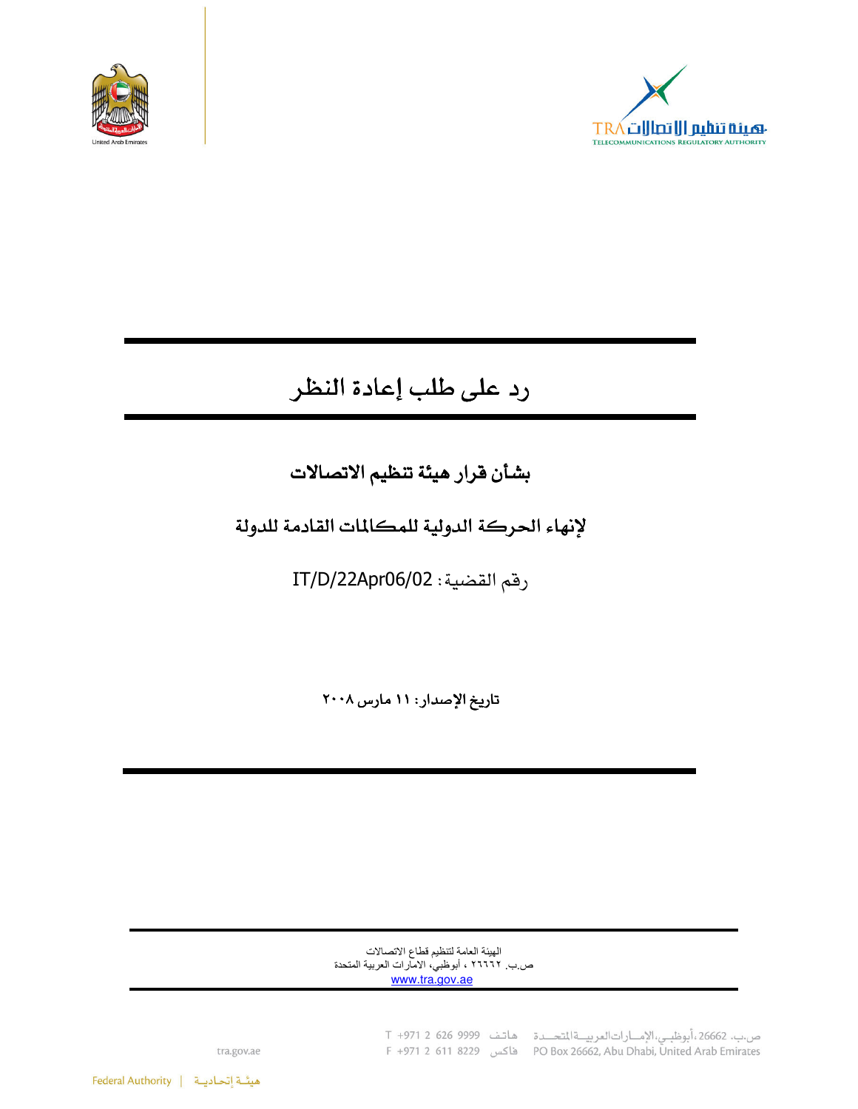



# رد على طلب إعادة النظر

## بشأن قرار هيئة تنظيم الاتصالات

### لإنهاء الحركة الدولية للمكالمات القادمة للدولة

رقم القضية: IT/D/22Apr06/02

تاريخ الإصدار: ١١ مارس ٢٠٠٨

الهيئة العامة لتنظيم قطاع الاتصالات ص ب ٢٦٦٦٢ ، أبوظبي، الامارات العربية المتحدة www.tra.gov.ae

> ص.ب. 26662، أبوظبي، الإمارات العربية التحدة هاتف 9999 926 C +971 2 F +971 2 611 8229 (PO Box 26662, Abu Dhabi, United Arab Emirates

tra.gov.ae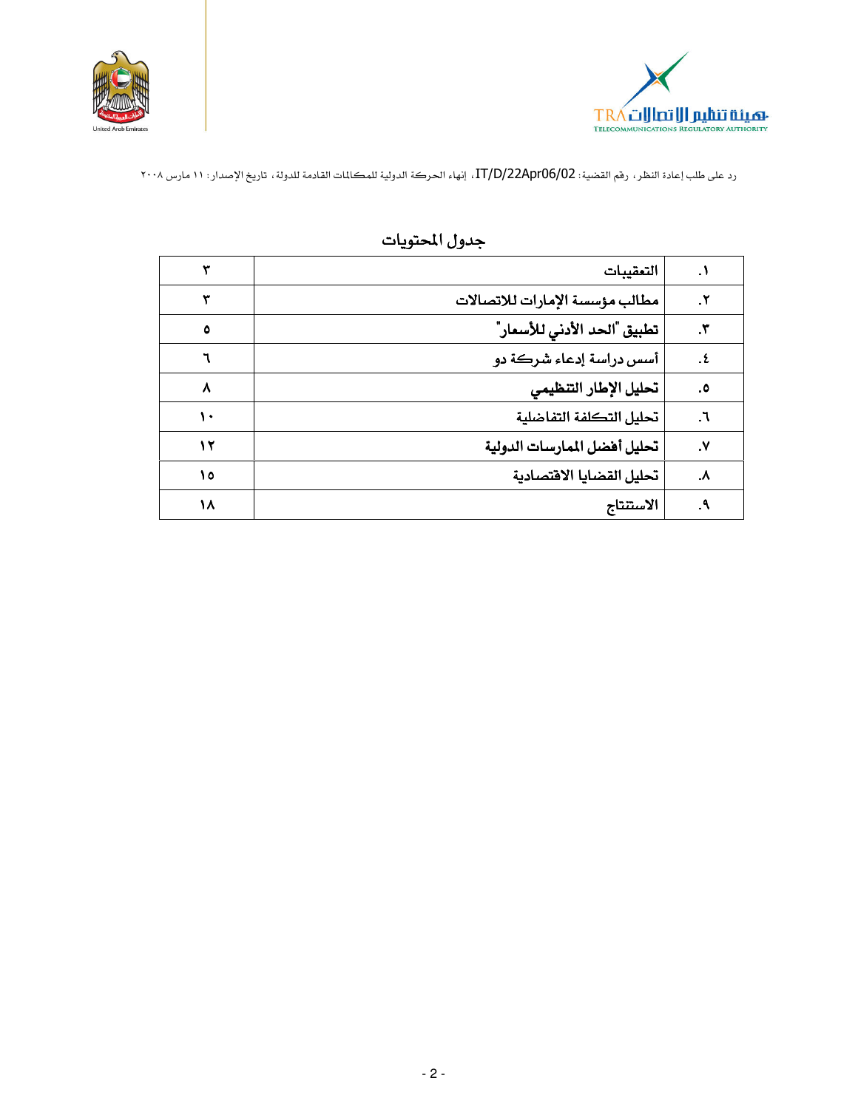



| ۱.             | التعقيبات                      |           |
|----------------|--------------------------------|-----------|
| ۲.             | مطالب مؤسسة الإمارات للاتصالات |           |
| ۳.             | تطبيق "الحد الأدنى للأسعار"    | $\circ$   |
| . ٤            | أسس دراسة إدعاء شركة دو        |           |
| ه.             | تحليل الإطار التنظيمى          | $\lambda$ |
| $\mathsf{r}$ . | تحليل التكلفة التفاضلية        | ١.        |
| ۷.             | تحليل أفضل الممارسات الدولية   | ١٢        |
| $\lambda$      | تحليل القضايا الاقتصادية       | ۱٥        |
| ۹.             | الاستنتاج                      | ۱۸        |

### جدول المحتويات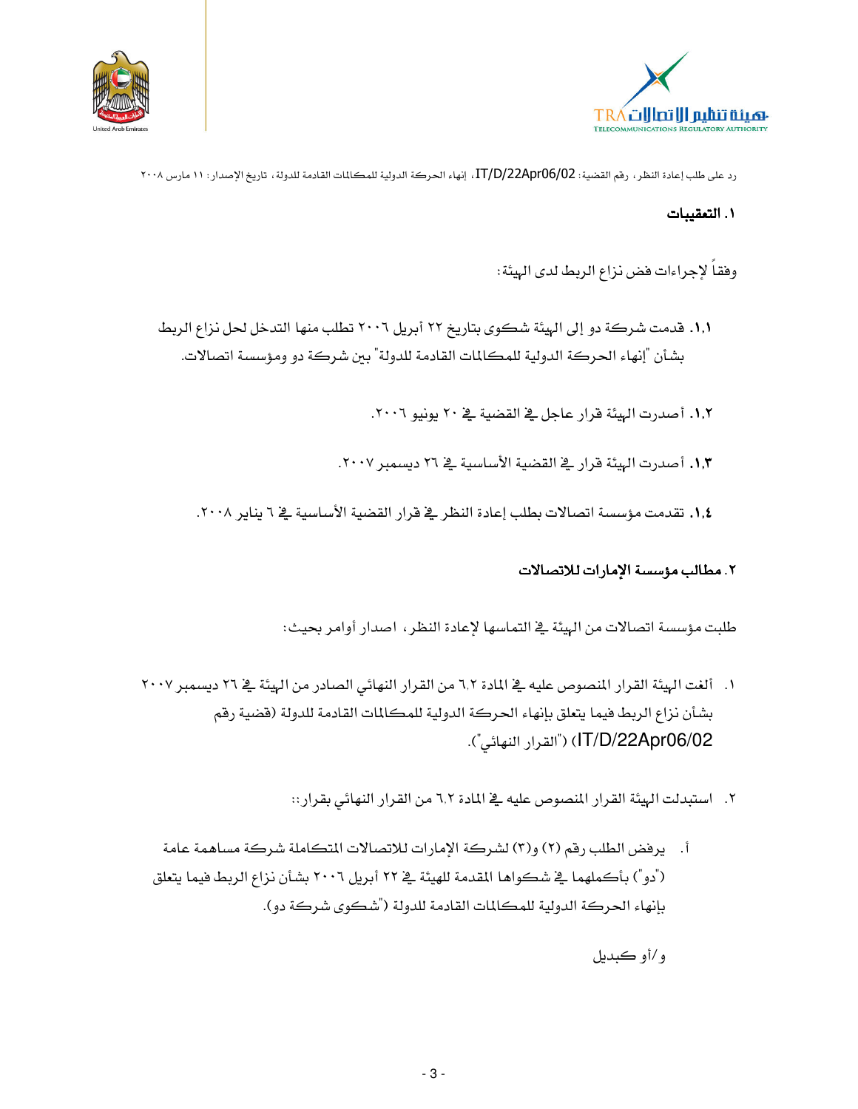



#### ١. التعقيبات

وفقاً لإجراءات فض نزاع الربط لدى الهيئة:

- ١,١. قدمت شركة دو إلى الهيئة شكوى بتاريخ ٢٢ أبريل ٢٠٠٦ تطلب منها التدخل لحل نزاع الربط بشأن "إنهاء الحركة الدولية للمكالمات القادمة للدولة" بين شركة دو ومؤسسة اتصالات.
	- ١,٢. أصدرت الهيئة قرار عاجل في القضية في ٢٠ يونيو ٢٠٠٦.
	- ١,٣. أصدرت الهئة قرار في القضية الأساسية في ٢٦ ديسمبر ٢٠٠٧.
	- ١٫٤. تقدمت مؤسسة اتصالات بطلب إعادة النظر في قرار القضية الأساسية في ٦ يناير ٢٠٠٨.

#### ٢. مطالب مؤسسة الإمارات للاتصالات

طلبت مؤسسة اتصالات من الهيئة في التماسها لإعادة النظر ، اصدار أوامر بحيث:

- ١. ألغت الهيئة القرار المنصوص عليه في المادة ٦,٢ من القرار النهائي الصادر من الهيئة في ٢٦ ديسمبر ٢٠٠٧ بشأن نزاع الربط فيما يتعلق بإنهاء الحركة الدولية للمكالمات القادمة للدولة (فضية رقم IT/D/22Apr06/02) ("القرار النهائي").
	- ٢. استبدلت الهيئة القرار المنصوص عليه في المادة ٦,٢ من القرار النهائي بقرار ::
	- أ. يرفض الطلب رقم (٢) و(٣) لشركة الإمارات للاتصالات المتكاملة شركة مساهمة عامة ("دو") بأكملهما في شكواها المقدمة للهيئة في ٢٢ أبريل ٢٠٠٦ بشأن نزاع الربط فيما يتعلق بإنهاء الحركة الدولية للمكالمات القادمة للدولة ("شكوى شركة دو).

و/أو ڪيديل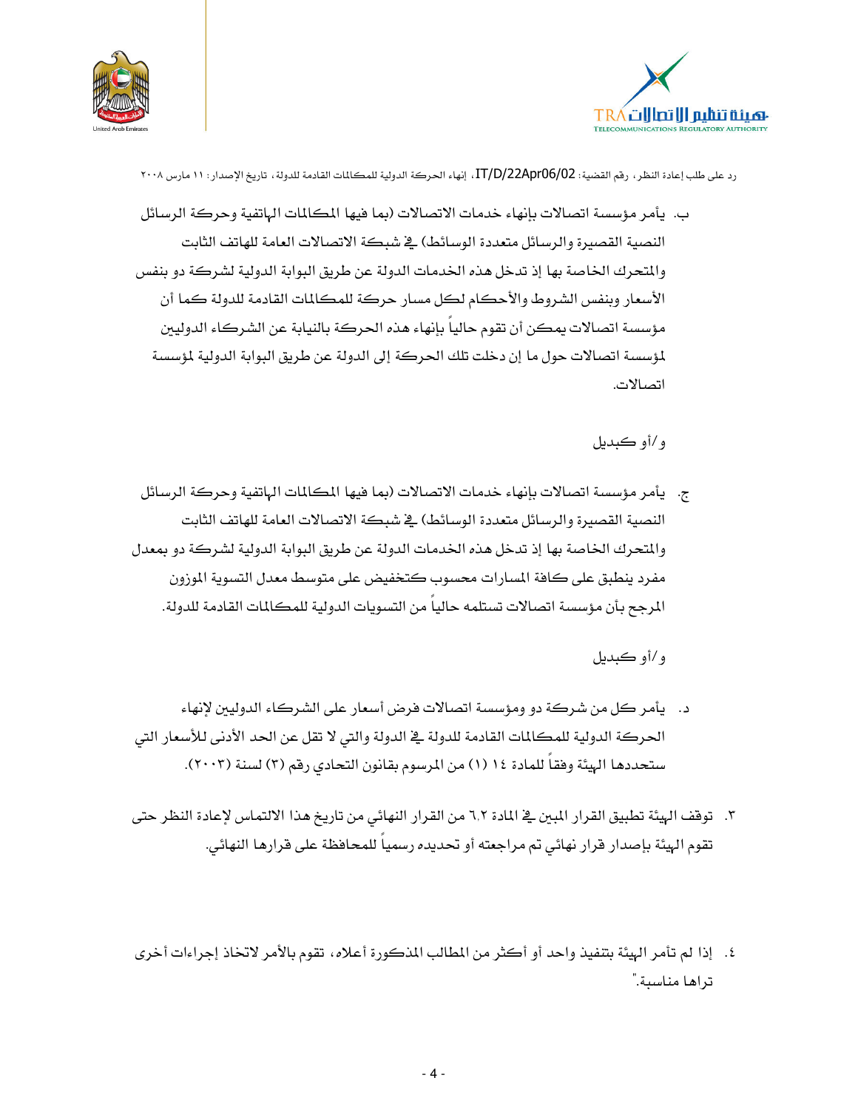



ب. يأمر مؤسسة اتصالات بإنهاء خدمات الاتصالات (بما فيها المكالمات الهاتفية وحركة الرسائل النصية القصيرة والرسائل متعددة الوسائط) في شبكة الاتصالات العامة للهاتف الثابت والمتحرك الخاصة بها إذ تدخل هذه الخدمات الدولة عن طريق البوابة الدولية لشركة دو بنفس الأسعار وبنفس الشروط والأحكام لكل مسار حركة للمكالمات القادمة للدولة كما أن مؤسسة اتصالات يمكن أن تقوم حالياً بإنهاء هذه الحركة بالنيابة عن الشركاء الدوليين لمؤسسة اتصالات حول ما إن دخلت تلك الحركة إلى الدولة عن طريق البوابة الدولية لمؤسسة اتصالات.

و/أو ڪيديل

ج. يأمر مؤسسة اتصالات بإنهاء خدمات الاتصالات (بما فيها المكالمات الهاتفية وحركة الرسائل النصية القصيرة والرسائل متعددة الوسائط) في شبكة الاتصالات العامة للهاتف الثابت والمتحرك الخاصة بها إذ تدخل هذه الخدمات الدولة عن طريق البوابة الدولية لشركة دو بمعدل مفرد ينطبق على كافة المسارات محسوب كتخفيض على متوسط معدل التسوية الموزون المرجح بأن مؤسسة اتصالات تستلمه حاليا من التسويات الدولية للمكالمات القادمة للدولة.

و/أو ڪيديل

- د. يأمر كل من شركة دو ومؤسسة اتصالات فرض أسعار على الشركاء الدوليين لإنهاء الحركة الدولية للمكالمات القادمة للدولة في الدولة والتي لا تقل عن الحد الأدنى للأسعار التي ستحددها الهيئة وفقاً للمادة ١٤ (١) من المرسوم بقانون التحادي رقم (٣) لسنة (٢٠٠٣).
- ٣. توقف الهيئة تطبيق القرار المبين في المادة ٦٫٢ من القرار النهائي من تاريخ هذا الالتماس لإعادة النظر حتى تقوم الهيئة بإصدار قرار نهائي تم مراجعته أو تحديده رسمياً للمحافظة على قرارها النهائي.
- ٤. إذا لم تأمر الهيئة بتنفيذ واحد أو أكثر من المطالب المذكورة أعلاه، تقوم بالأمر لاتخاذ إجراءات أخرى تراها مناسبة."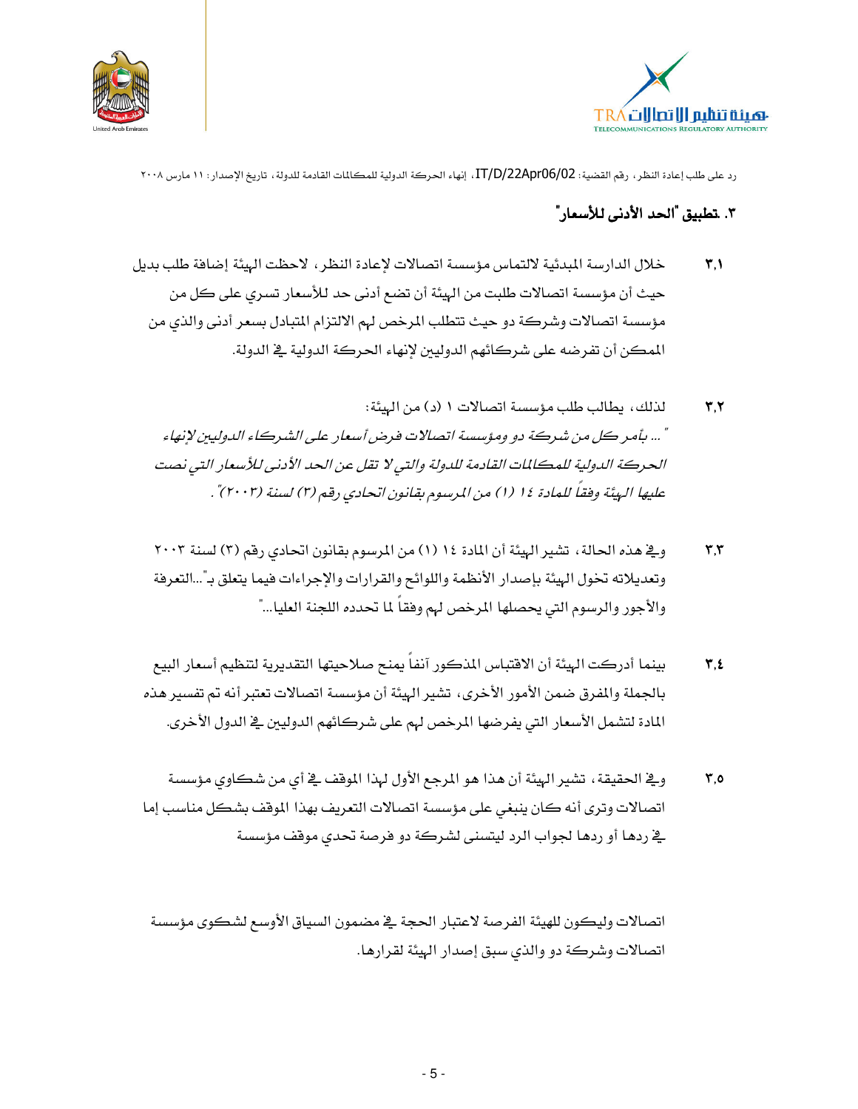



#### ٣. تطبيق "الحد الأدني للأسعار"

- خلال الدارسة المبدئية لالتماس مؤسسة اتصالات لإعادة النظر، لاحظت الهيئة إضافة طلب بديل  $\mathbf{r}.\mathbf{v}$ حيث أن مؤسسة اتصالات طلبت من الهيئة أن تضع أدنى حد للأسعار تسرى على كل من مؤسسة اتصالات وشركة دو حيث تتطلب المرخص لهم الالتزام المتبادل بسعر أدنى والذى من المكن أن تفرضه على شركائهم الدوليين لإنهاء الحركة الدولية في الدولة.
	- لذلك، يطالب طلب مؤسسة اتصالات ١ (د) من الهيئة:  $\mathbf{r}.\mathbf{r}$ " ... بأمر كل من شركة دو ومؤسسة اتصالات فرض أسعار على الشركاء الدوليين لإنهاء الحركة الدولية للمكللات القادمة للدولة والتي لا تقل عن الحد الأدني للأسعار التي نصت عليها الهيئة وفقاً للعادة ١٤ (١) من المرسوم بقانون اتحادي رقم (٣) لسنة (٢٠٠٣)" .
	- وِيٌّ هذه الحالة ، تشير الهيئة أن المادة ١٤ (١) من المرسوم بقانون اتحادي رقم (٣) لسنة ٢٠٠٣  $\mathbf{r}$ , $\mathbf{r}$ وتعديلاته تخول الهيئة بإصدار الأنظمة واللوائح والقرارات والإجراءات فيما يتعلق بـ"...التعرفة والأجور والرسوم التي يحصلها المرخص لهم وفقاً لما تحدده اللجنة العليا…"
	- بينما أدركت الهيئة أن الافتباس المذكور آنفاً يمنح صلاحيتها التقديرية لتنظيم أسعار البيع  $\mathbf{y}, \mathbf{z}$ بالجملة والمفرق ضمن الأمور الأخرى، تشير الهيئة أن مؤسسة اتصالات تعتبر أنه تم تفسير هذه المادة لتشمل الأسعار التي يفرضها المرخص لهم على شركائهم الدوليين في الدول الأخرى.
	- وِيخ الحقيقة ، تشير الهيئة أن هذا هو المرجع الأول لهذا الموقف يخ أي من شكاوي مؤسسة  $\mathbf{r}$ ,0 اتصالات وترى أنه كان ينبغي على مؤسسة اتصالات التعريف بهذا الموقف بشكل مناسب إما <u>ي</u>خ ردهـا أو ردهـا لجواب الرد ليت*سنى* لشـركة دو فرصة تحدى موقف مؤسسة

اتصالات وليكون للهيئة الفرصة لاعتبار الحجة ية مضمون السياق الأوسع لشكوى مؤسسة اتصالات وشركة دو والذي سبق إصدار الهيئة لقرارها.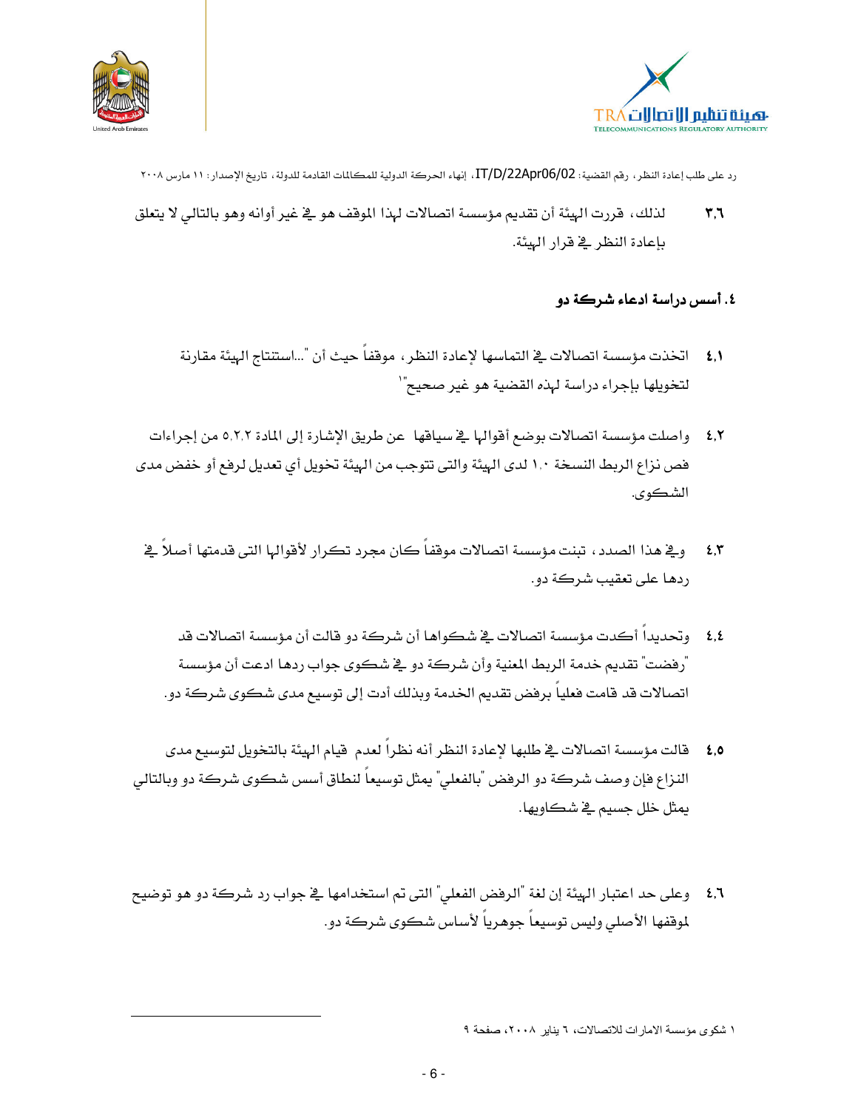



- رد على طلب إعادة النظر ، رقم القضية : IT/D/22Apr06/02 ، إنهاء الحركة الدولية للمكالمات القادمة للدولة ، تاريخ الإصدار : ١١ مارس ٢٠٠٨
- لذلك، قررت الهيئة أن تقديم مؤسسة اتصالات لهذا الموقف هو ڤي غير أوانه وهو بالتالي لا يتعلق  $\mathbf{r}$ ,  $\mathbf{r}$ بإعادة النظر في قرار البيئة.

#### ٤. أسس دراسة ادعاء شركة دو

- ٤,١ اتخذت مؤسسة اتصالات في التماسها لإعادة النظر ، موقفاً حيث أن "...استنتاج الهيئة مقارنة لتخويلها بإجراء دراسة لهذه القضية هو غير صحيح"`
- 8,٢ واصلت مؤسسة اتصالات بوضع أقوالها في سياقها عن طريق الإشارة إلى المادة ٥,٢,٢ من إجراءات فص نزاع الربط النسخة ١,٠ لدى الهيئة والتي تتوجب من الهيئة تخويل أي تعديل لرفع أو خفض مدى الشكوي.
- وية هذا الصدد ، تبنت مؤسسة اتصالات موقفاً كان مجرد تكرار لأقوالها التي قدمتها أصلاً في  $2.5$ ردها على تعقب شركة دو.
	- ٤٫٤ وتحديداً أكدت مؤسسة اتصالات في شكواها أن شركة دو قالت أن مؤسسة اتصالات قد ّرفضت" تقديم خدمة الربط المنية وأن شركة دو \_2 شكوي جواب ردهـا ادعت أن مؤسسة اتصالات قد قامت فعلياً برفض تقديم الخدمة وبذلك أدت إلى توسيع مدى شكوى شركة دو.
- 6,0 قالت مؤسسة اتصالات ـِـِّ طلبها لإعادة النظر أنه نظراً لعدم قيام الهيئة بالتخويل لتوسيع مدى النزاع فإن وصف شركة دو الرفض "بالفعلي" يمثل توسيعاً لنطاق أسس شكوي شركة دو وبالتالي يمثل خلل جسيم ڇ شڪاويها.
- 1,1 ٪ وعلى حد اعتبار الهيئة إن لغة "الرفض الفعلي" التي تم استخدامها ﴾ جواب رد شركة دو هو توضيح لموقفها الأصلي وليس توسيعاً جوهرياً لأساس شكوي شركة دو.

١ شكوى مؤسسة الامارات للاتصالات، ٦ يناير ٢٠٠٨، صفحة ٩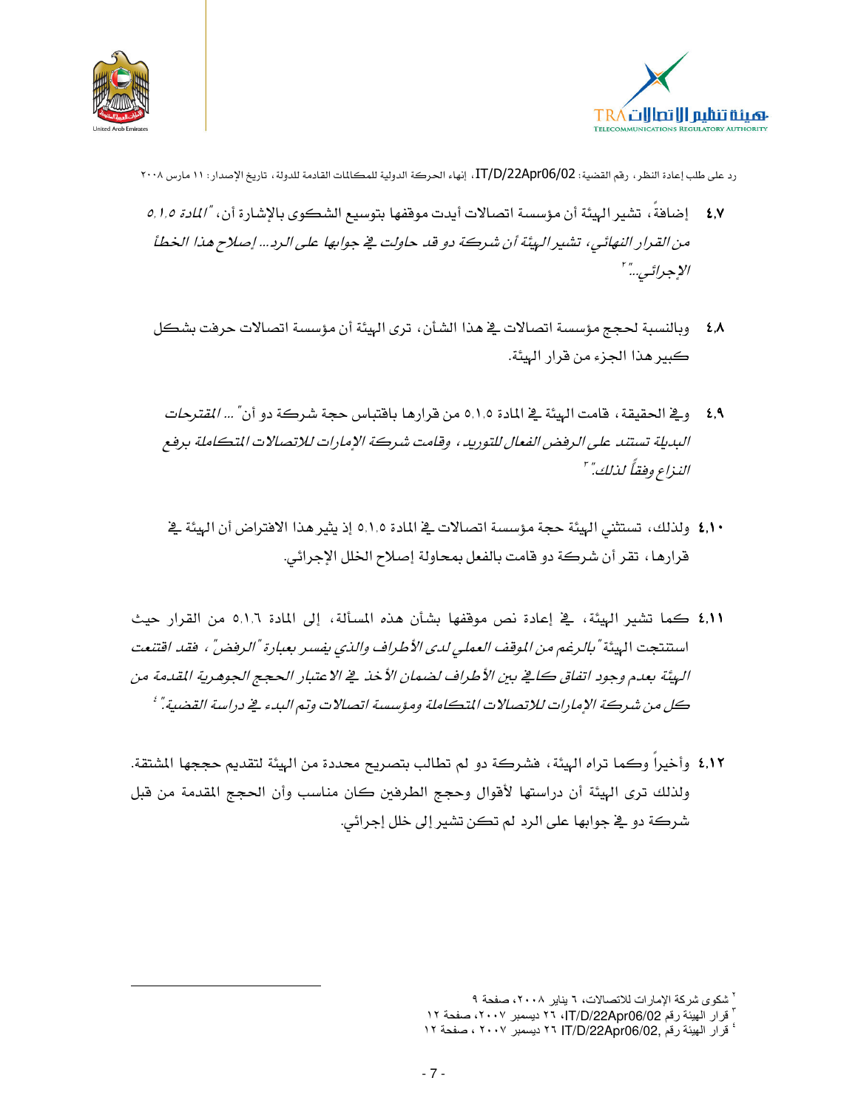



- ٤,٧ إضافةُ، تشير الهيئة أن مؤسسة اتصالات أيدت موقفها بتوسيع الشكوى بالإشارة أن، "/لمادة 0,1,0 من القرار النهائي، تشير الهيئة أن شركة دو قد حاولت في جوابها على الرد... إصلاح هذا الخطأ الإجرائي..." '
- ٤٫٨ وبالنسبة لحجج مؤسسة اتصالات في هذا الشأن، ترى البيئة أن مؤسسة اتصالات حرفت بشكل كبير هذا الجزء من قرار الهيئة.
	- \$, و\_في الحقيقة ، قامت الهيئة \_في المادة 0,1,0 من قرارها باقتباس حجة شركة دو أن *" ... القترحات* البديلة تستند على الرفض الفعال للتوريد ، وقامت شركة الإمارات للاتصالات المتكاملة برفع النيذاع وفقاً لذلك." "
	- ٤,١٠ ولذلك، تستثنى الهيئة حجة مؤسسة اتصالات في المادة ٥,١,٥ إذ يثير هذا الافتراض أن الهيئة في قرارها ، تقر أن شركة دو قامت بالفعل بمحاولة إصلاح الخلل الإجرائي.
- ٤,١١ كما تشير الهيئة، في إعادة نص موقفها بشأن هذه المسألة، إلى المادة ٥,١,٦ من القرار حيث استنتجت الهيئة "بالرغم من الموقف العملي لدى الأطراف والذي يفسر بعبارة "الرفض" ، فقد اقتنعت الهيئة بعدم وجود اتفاق كافي بين الأطراف لضمان الأخذ في الاعتبار الحجج الجوهرية المقدمة من كل من شركة الإمارات للاتصالات المتكاملة ومؤسسة اتصالات وتم البدء في دراسة القضية." '
- ٤,١٢ وأخيراً وكما تراه الهيئة، فشركة دو لم تطالب بتصريح محددة من الهيئة لتقديم حججها المشتقة. ولذلك ترى الهيئة أن دراستها لأفوال وحجج الطرفين كان مناسب وأن الحجج المقدمة من قبل شركة دو پُ جوابها علي الرد لم تكن تشير إلى خلل إجرائي.

<sup>&</sup>lt;sup>۲</sup> شکوی شرکة الإمارات للاتصالات، ٦ يناير ۲۰۰۸، صفحة ۹

<sup>&</sup>lt;sup>י</sup> قرار الهيئة رقم IT/D/22Apr06/02، ٢٦ ديسمبر ٢٠٠٧، صفحة ١٢

<sup>&</sup>lt;sup>،</sup> قرار الهيئة رقم .IT/D/22Apr06/02 ٢٦ ديسمبر ٢٠٠٧ ، صفحة ١٢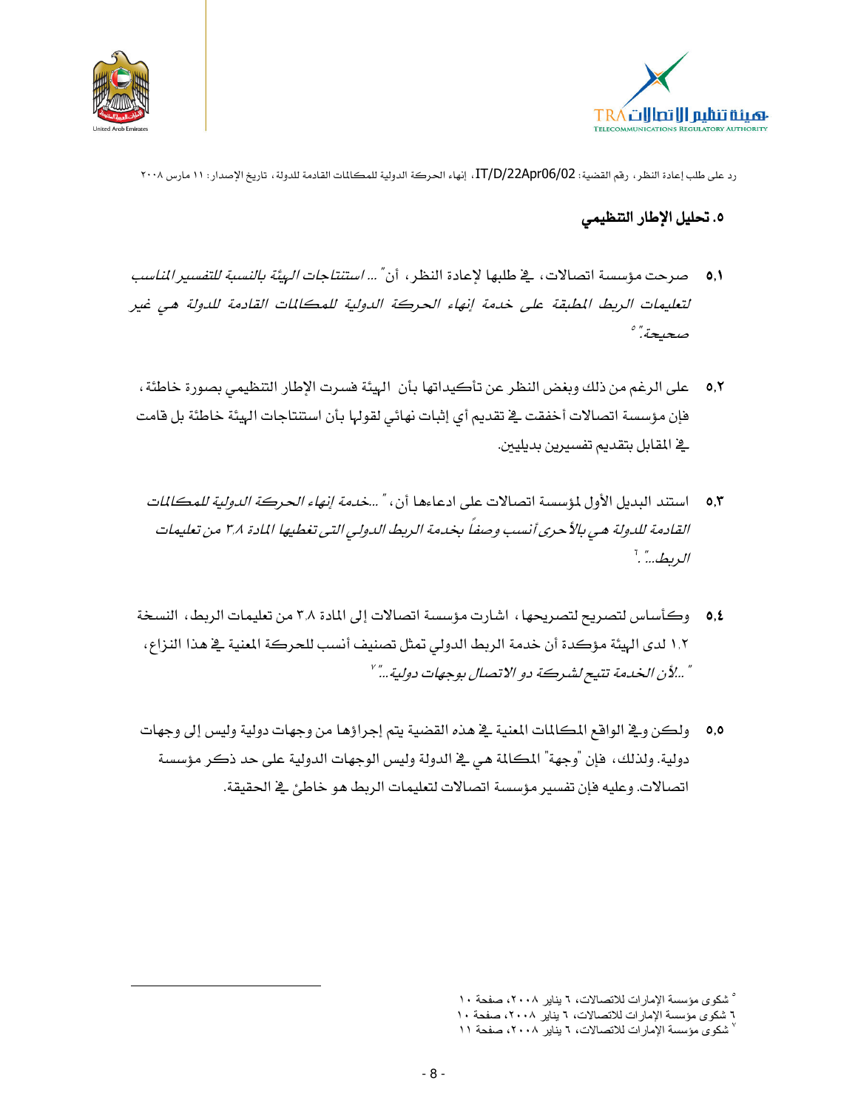



#### ٥. تحليل الإطار التنظيمى

- لتعليمات الريط المطبقة على خدمة إنهاء الحركة الدولية للمكالمات القادمة للدولة هي غير صحيحة."
	- 0,۲ على الرغم من ذلك وبغض النظر عن تأكيداتها بأن الهيئة فسرت الإطار التنظيمي بصورة خاطئة ، فإن مؤسسة اتصالات أخفقت في تقديم أي إثبات نهائي لقولها بأن استنتاجات الهيئة خاطئة بل قامت <u>ے</u> المقابل بتقدیم تفسیرین بدیلیین.
		- 0,۳ استند البديل الأول لمؤسسة اتصالات على ادعاءها أن، " …*خدمة إنهاء الحركة الدولية للمكالمات* القادمة للدولة هي بالأحرى أنسب وصفا بخدمة الريط الدولي التي تغطيها المادة ٣٫٨ من تعليمات الريط..." ."
	- 0,٤ وكأساس لتصريح لتصريحها ، اشارت مؤسسة اتصالات إلى المادة ٣,٨ من تعليمات الربط، النسخة ١,٢ لدى الهيئة مؤكدة أن خدمة الربط الدولي تمثل تصنيف أنسب للحركة المنية في هذا النزاع، " ...لأن الخدمة تتيح لشركة دو الاتصال بوجهات دولية ..." '
	- 0,0 ٪ ولكن ويـْ الواقع المكالمات المعنية يـْ هذه القضية يتم إجراؤها من وجهات دولية وليس إلى وجهات دولية. ولذلك، فإن "وجهة" المكالمة هي في الدولة وليس الوجهات الدولية على حد ذكر مؤسسة اتصالات. وعليه فإن تفسير مؤسسة اتصالات لتعليمات الربط هو خاطئ في الحقيقة.

<sup>°</sup> شكوى مؤسسة الإمارات للاتصالات، ٦ يناير ٢٠٠٨، صفحة ١٠

٦ شكوى مؤسسة الإمارات للاتصالات، ٦ يناير ٢٠٠٨، صفحة ١٠

<sup>`</sup> شكوى مؤسسة الإمارات للاتصالات، ٦ يناير ٢٠٠٨، صفحة ١١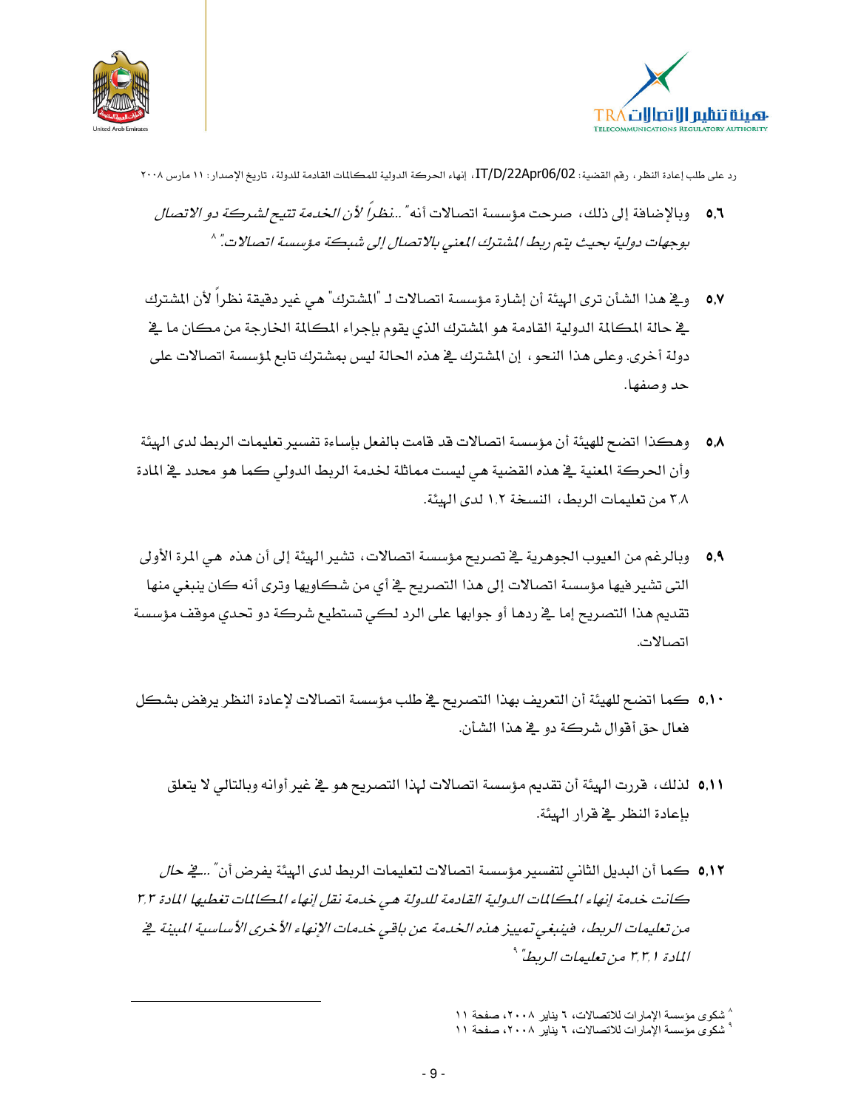



- 0,1 وبالإضافة إلى ذلك، صرحت مؤسسة اتصالات أنه" ...نظراً لأن *الخدمة تتيح لشركة دو الاتصال* بوجهات دولية بحيث يتم ربط المشترك المعنى بالاتصال إلى شبكة مؤسسة اتصالات." ^
- 0,۷ و\_2 هذا الشأن ترى الهيئة أن إشارة مؤسسة اتصالات لـ "المشترك" هي غير دقيقة نظراً لأن المشترك يخ حالة المكالمة الدولية القادمة هو المشترك الذي يقوم بإجراء المكالمة الخارجة من مكان ما يخ دولة أخرى. وعلى هذا النحو ، إن المشترك في هذه الحالة ليس بمشترك تابع لمؤسسة اتصالات على حد وصفها.
- 0,۸ وهكذا اتضح للهيئة أن مؤسسة اتصالات قد قامت بالفعل بإساءة تفسير تعليمات الربط لدى الهيئة وأن الحركة المنية في هذه القضية هي ليست مماثلة لخدمة الربط الدولي كما هو محدد في المادة ٣٫٨ من تعليمات الربط، النسخة ١,٢ لدى الهيئة.
- 0,۹٪ وبالرغم من العيوب الجوهرية في تصريح مؤسسة اتصالات، تشير الهيئة إلى أن هذه هي المرة الأولى التي تشير فيها مؤسسة اتصالات إلى هذا التصريح في أي من شكاويها وترى أنه كان ينبغي منها تقديم هذا التصريح إما يخ ردها أو جوابها على الرد لكي تستطيع شركة دو تحدي موقف مؤسسة اتصالات.
- 0,10 كما اتضح للهيئة أن التعريف بهذا التصريح في طلب مؤسسة اتصالات لإعادة النظر يرفض بشكل فعال حق أفوال شركة دو \_2 هذا الشأن.
	- ٥,١١ لذلك، فررت الهيئة أن تقديم مؤسسة اتصالات لهذا التصريح هو في غير أوانه وبالتالي لا يتعلق بإعادة النظر في قرار الهيئة.
- 0,1 كما أن البديل الثاني لتفسير مؤسسة اتصالات لتعليمات الربط لدى الهيئة يفرض أن" ...<u>2</u> ح*ال* كانت خدمة إنهاء المكللات الدولية القادمة للدولة هي خدمة نقل إنهاء المكللات تغطيها المادة ٣٫٣ من تعليمات الريط، فينبغي تمييز هذه الخدمة عن باقي خدمات الإنهاء الأخرى الأساسية المبينة ⊈ المادة ٣,٣,١ من تعليمات الديطاً \*

<sup>^</sup> شكوى مؤسسة الإمارات للاتصالات، ٦ يناير ٢٠٠٨، صفحة ١١ ° شكوى مؤسسة الإمارات للاتصالات، ٦ يناير ٢٠٠٨، صفحة ١١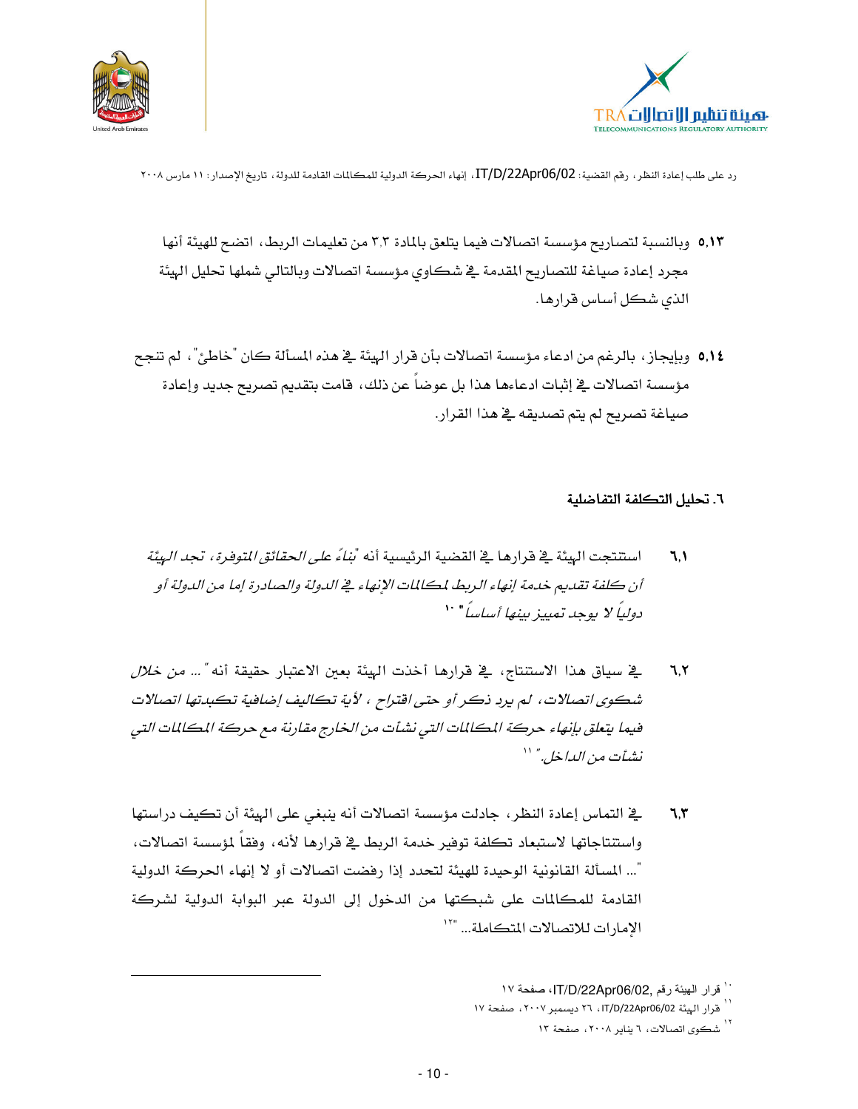



- 0,1۳ وبالنسبة لتصاريح مؤسسة اتصالات فيما يتلعق بالمادة ٣٫٣ من تعليمات الربط، اتضح للهيئة أنها مجرد إعادة صياغة للتصاريح المقدمة في شكاوي مؤسسة اتصالات وبالتالي شملها تحليل الهيئة الذي شكل أساس قرارها.
- 0,1٤ وبإيجاز، بالرغم من ادعاء مؤسسة اتصالات بأن قرار الهيئة في هذه المسألة كان "خاطئ"، لم تنجح مؤسسة اتصالات في إثبات ادعاءها هذا بل عوضا عن ذلك، قامت بتقديم تصريح جديد وإعادة صياغة تصريح لم يتم تصديقه ـ2ْ هذا القرار.

#### ٦. تحليل التكلفة التفاضلية

- استنتجت الهيئة في قرارهـا في القضية الرئيسية أنه *"بناءً على الحقائق المتوفرة، تجد الهيئة*  $7, 1$ أن كلفة تقديم خدمة إنهاء الريط لمكالمات الإنهاء في الدولة والصادرة إما من الدولة أو دولياً لا يوجد تعييز بينها أسلساً " ``
- يخ سياق هذا الاستنتاج، ـفي قرارها أخذت الهيئة بعين الاعتبار حقيقة أنه *"... من خلال*  $7,7$ شكوي اتصالات، لم يرد ذكر أو حتى اقتراح ، لأية تكاليف إضافية تكبدتها اتصالات فيما يتعلق بإنهاء حركة المكللات التي نشأت من الخارج مقارنة مع حركة المكللات التي نشأت من الداخل." ''
- يخ التماس إعادة النظر، جادلت مؤسسة اتصالات أنه ينبغي على الهيئة أن تكيف دراستها ٦.٣ واستنتاجاتها لاستبعاد تكلفة توفير خدمة الربط يخ فرارها لأنه، وفقاً لمؤسسة اتصالات، "... المسألة القانونية الوحيدة للهيئة لتحدد إذا رفضت اتصالات أو لا إنهاء الحركة الدولية القادمة للمكالمات على شبكتها من الدخول إلى الدولة عبر البوابة الدولية لشركة الامارات للاتصالات المتكاملة... "``

`` قرار الهيئة رقم ,IT/D/22Apr06/02!، صفحة ١٧

.<br>| قرار الهيئة IT/D/22Apr06/02 ، ٢٦ ديسمبر ٢٠٠٧ ، صفحة ١٧

شكوى اتصالات، ٦ يناير ٢٠٠٨، صفحة ١٣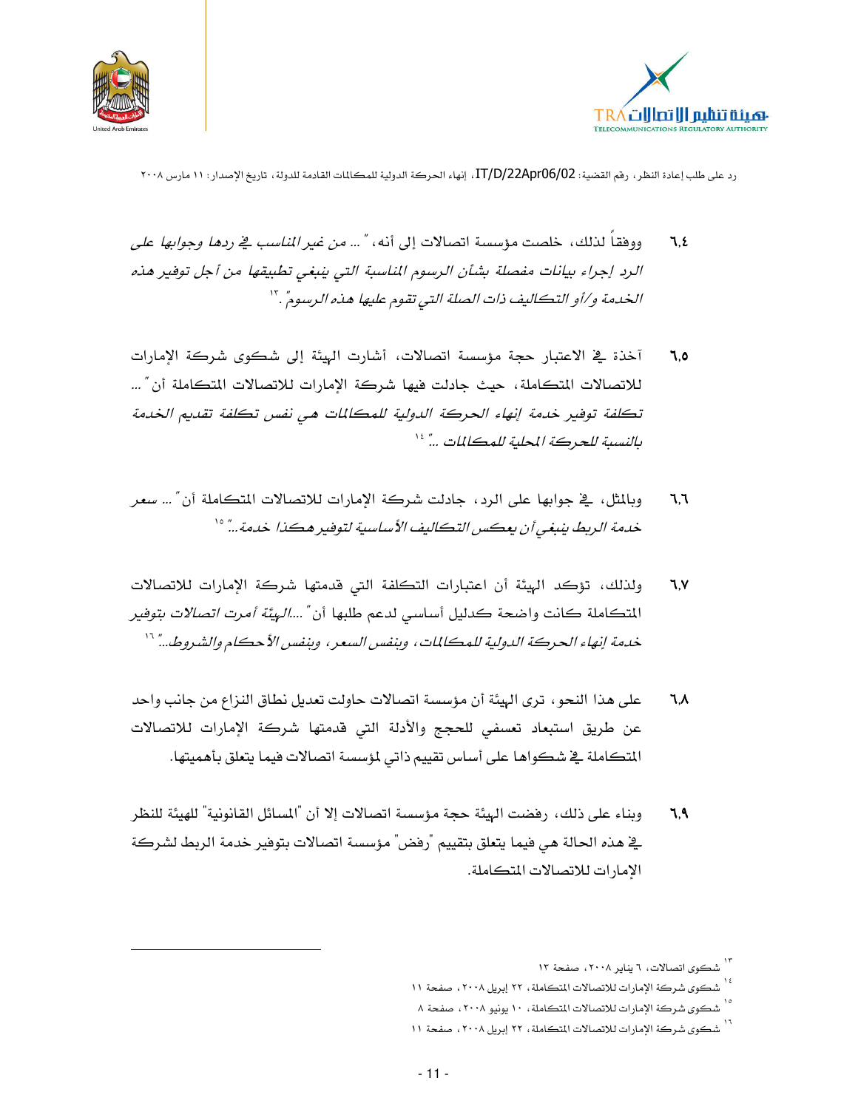



- ووفقا لذلك، خلصت مؤسسة اتصالات إلى أنه، "... *من غير المناسب في ردها وجوابها على*  $7.5$ الرد إجراء بيانات مفصلة بشأن الرسوم الناسبة التي ينبغي تطبيقها من أجل توفير هذه الخدمة و/أو التكاليف ذات الصلة التي تقوم عليها هذه الرسوم". ``
- آخذة في الاعتبار حجة مؤسسة اتصالات، أشارت الهيئة إلى شكوى شركة الإمارات ٦.٥ للاتصالات المتكاملة، حيث جادلت فيها شركة الإمارات للاتصالات المتكاملة أن " ... تكلفة توفير خدمة إنهاء الحركة الدولية للمكالمات هي نفس تكلفة تقديم الخدمة بالنسبة للحركة المحلية للمكالمات ..." \*'
- وبالمثل، \_في جوابها على الرد، جادلت شركة الإمارات للاتصالات المتكاملة أن″ ... سعر ٦,٦ خدمة الريط ينبغي أن يعكس التكاليف الأساسية لتوفير هكذا خدمة..." °'
- ولذلك، تؤكد الهيئة أن اعتبارات التكلفة التي قدمتها شركة الإمارات للاتصالات  $7, 1$ المتكاملة كانت واضحة كدليل أساسي لدعم طلبها أن *"....الهيئة أمرت اتصالات بتوفير* خدمة إنهاء الحركة الدولية للمكالمات، وبنفس السعر، وبنفس الأحكام والشروط..." ``
- على هذا النحو، ترى الهيئة أن مؤسسة اتصالات حاولت تعديل نطاق النزاع من جانب واحد ٦,٨ عن طريق استبعاد تعسفي للحجج والأدلة التي قدمتها شركة الإمارات للاتصالات المتكاملة في شكواها على أساس تقييم ذاتي لمؤسسة اتصالات فيما يتعلق بأهميتها.
- وبناء على ذلك، رفضت الهيئة حجة مؤسسة اتصالات إلا أن "المسائل القانونية" للهيئة للنظر ٦.٩ يخ هذه الحالة هي فيما يتعلق بتقييم "رفض" مؤسسة اتصالات بتوفير خدمة الربط لشركة الامارات للاتصالات المتكاملة.

۱۳<br>شکوی اتصالات، ۲ پنایر ۲۰۰۸، صفحة ۱۳

<sup>،&</sup>lt;br>" شكوى شركة الإمارات للاتصالات المتكاملة ، ٢٢ إبريل ٢٠٠٨ ، صفحة ١١

<sup>،&</sup>lt;br><sup>۱۰</sup> شكوى شركة الإمارات للاتصالات المتكاملة، ۱۰ يونيو ۲۰۰۸، صفحة ۸

۰۱<br>شکوی شرکة الإمارات للاتصالات المتکاملة ، ۲۲ إبريل ۲۰۰۸ ، صفحة ۱۱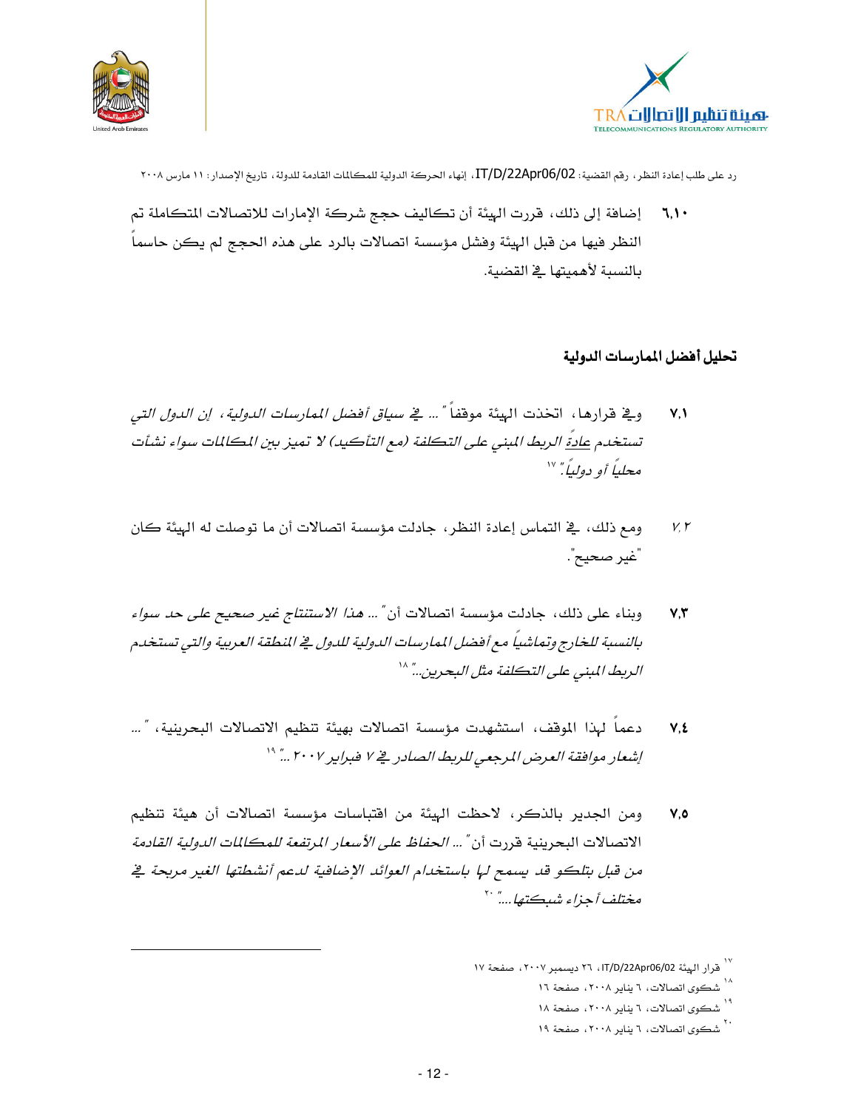



إضافة إلى ذلك، قررت الهيئة أن تكاليف حجج شركة الإمارات للاتصالات المتكاملة تم  $7,1$ النظر فيها من قبل الهيئة وفشل مؤسسة اتصالات بالرد على هذه الحجج لم يكن حاسما بالنسبة لأهميتها في القضية.

#### تحليل أفضل المارسات الدولية

- و<u>ِي</u>ّ قرارها ، اتخذت الهيئة موقفا<sup>ً "</sup> ... *يّ سياق أفضل الممارسات الدولية ، إن الدول التي*  $V.$ تستخدم <u>عادة</u> الربط المبنى على التكلفة (مع التأكيد) لا تميز بين المكالمات سواء نشأت محلياً أو دولياً" ```
- ومع ذلك، في التماس إعادة النظر، جادلت مؤسسة اتصالات أن ما توصلت له الهيئة كان  $V. Y$ "غير صحيح".
- وبناء على ذلك، جادلت مؤسسة اتصالات أن "... *هذا الاستنتاج غير صحيح على حد سواء*  $V, \tilde{V}$ بالنسبة للخارج وتماشياً مع أفضل الممارسات الدولية للدول في النطقة العربية والتي تستخدم الريط المبنى على التكلفة مثل البحرين..." ^`
- دعماً لهذا الموقف، استشهدت مؤسسة اتصالات بهيئة تنظيم الاتصالات البحرينية، "…  $V, E$ إشعار موافقة العرض المرجعي للريط الصادر في ٧ فبراير ٢٠٠٧ ..." "
- ومن الجدير بالذكر، لاحظت الهيئة من افتباسات مؤسسة اتصالات أن هيئة تنظيم  $V.0$ الاتصالات البحرينية قررت أن *" ... الحفاظ على الأسعار المرتفعة للمكلل*ات *الدولية القادمة* من قبل بتلكو قد يسمح لها باستخدام العوائد الإضافية لدعم أنشطتها الغير مربحة في م<del>ختلف أ</del>جزاء شبڪتها....<sup>"</sup> ``

<sup>٬</sup>۰<br>۱۷ قرار الهيئة IT/D/22Apr06/02، ۲۱ ديسمبر ۲۰۰۷، صفحة ۱۷

<sup>٬</sup>۰<br>شکوی اتصالات، ۲ پنایر ۲۰۰۸، صفحة ۱۲

ا<br>شکوی اتصالات، ۲ ینایر ۲۰۰۸، صفحة ۱۸

<sup>. ٬&</sup>lt;br>شکوی اتصالات، ۲ ینایر ۲۰۰۸، صفحهٔ ۱۹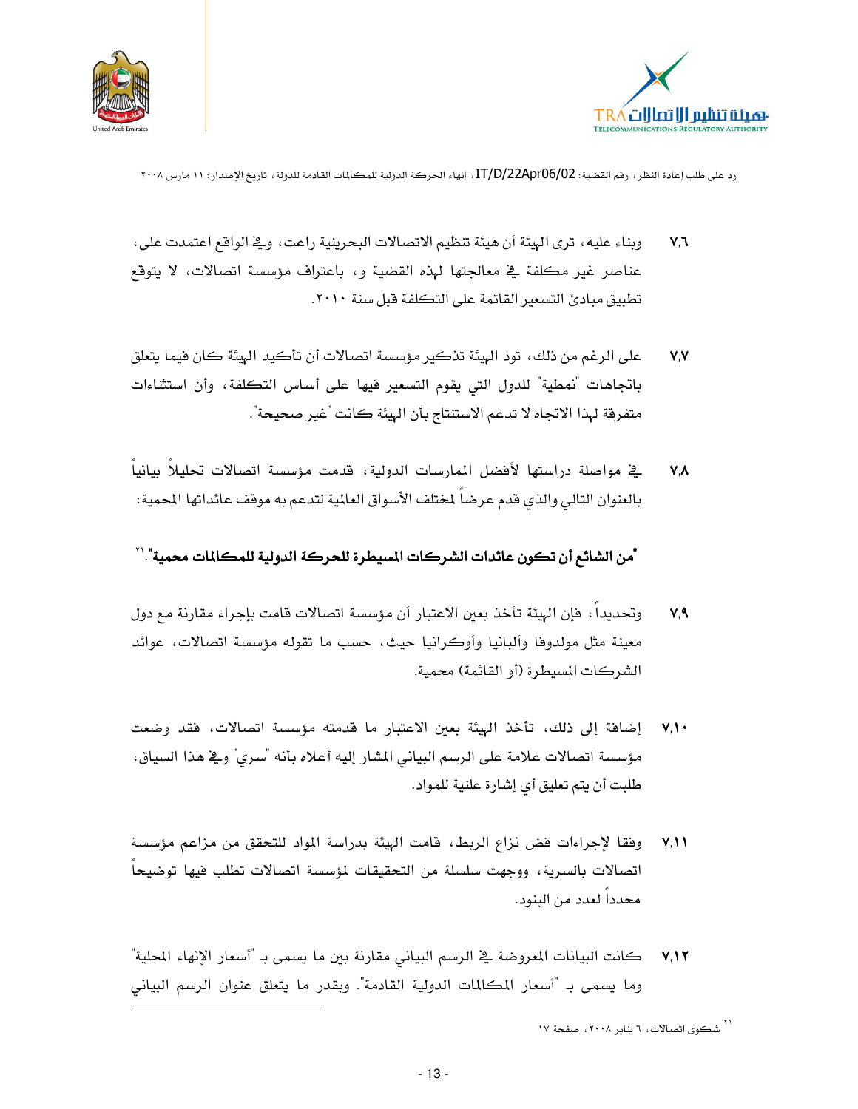



- وبناء عليه، ترى الهيئة أن هيئة تنظيم الاتصالات البحرينية راعت، وڤي الواقع اعتمدت على،  $V,7$ عناصر غير مكلفة في معالجتها لهذه القضية و، باعتراف مؤسسة اتصالات، لا يتوقع تطبيق مبادئ التسعير القائمة على التكلفة فبل سنة ٢٠١٠.
- على الرغم من ذلك، تود الهيئة تذكير مؤسسة اتصالات أن تأكيد الهيئة كان فيما يتعلق  $V.V$ باتجاهات "نمطية" للدول التي يقوم التسعير فيها على أساس التكلفة، وأن استثناءات متفرقة لهذا الاتجاه لا تدعم الاستنتاج بأن الهيئة كانت "غير صحيحة".
- <u>ب</u>خ مواصلة دراستها لأفضل الممارسات الدولية، قدمت مؤسسة اتصالات تحليلاً بيانياً  $V.A$ بالعنوان التالي والذي قدم عرضا لمختلف الأسواق العالمية لتدعم به موقف عائداتها المحمية:

'من الشائع أن تكون عائدات الشركات المسيطرة للحركة الدولية للمكالمات محمية".''

- وتحديدا ، فإن الهيئة تأخذ بعين الاعتبار أن مؤسسة اتصالات فامت بإجراء مقارنة مع دول  $V, 9$ معينة مثل مولدوفا وألبانيا وأوكرانيا حيث، حسب ما تقوله مؤسسة اتصالات، عوائد الشركات المسيطرة (أو القائمة) محمية.
- إضافة إلى ذلك، تأخذ الهيئة بعين الاعتبار ما قدمته مؤسسة اتصالات، فقد وضعت  $V.$ مؤسسة اتصالات علامة على الرسم البياني المشار إليه أعلاه بأنه "سرى" و\_في هذا السياق، طلبت أن يتم تعليق أي إشارة علنية للمواد.
- وفقا لإجراءات فض نزاع الربط، قامت الهيئة بدراسة المواد للتحقق من مزاعم مؤسسة  $V, V$ اتصالات بالسرية، ووجهت سلسلة من التحقيقات لمؤسسة اتصالات تطلب فيها توضيحا محدداً لعدد من البنود.
- كانت البيانات المعروضة في الرسم البياني مقارنة بين ما يسمى بـ "أسعار الإنهاء المحلية"  $V, \mathcal{N}$ وما يسمى بـ "أسعار المكالمات الدولية القادمة". وبقدر ما يتعلق عنوان الرسم البياني

<sup>..&</sup>lt;br>\* شڪوي اتصالات، ٦ يناير ٢٠٠٨، صفحة ١٧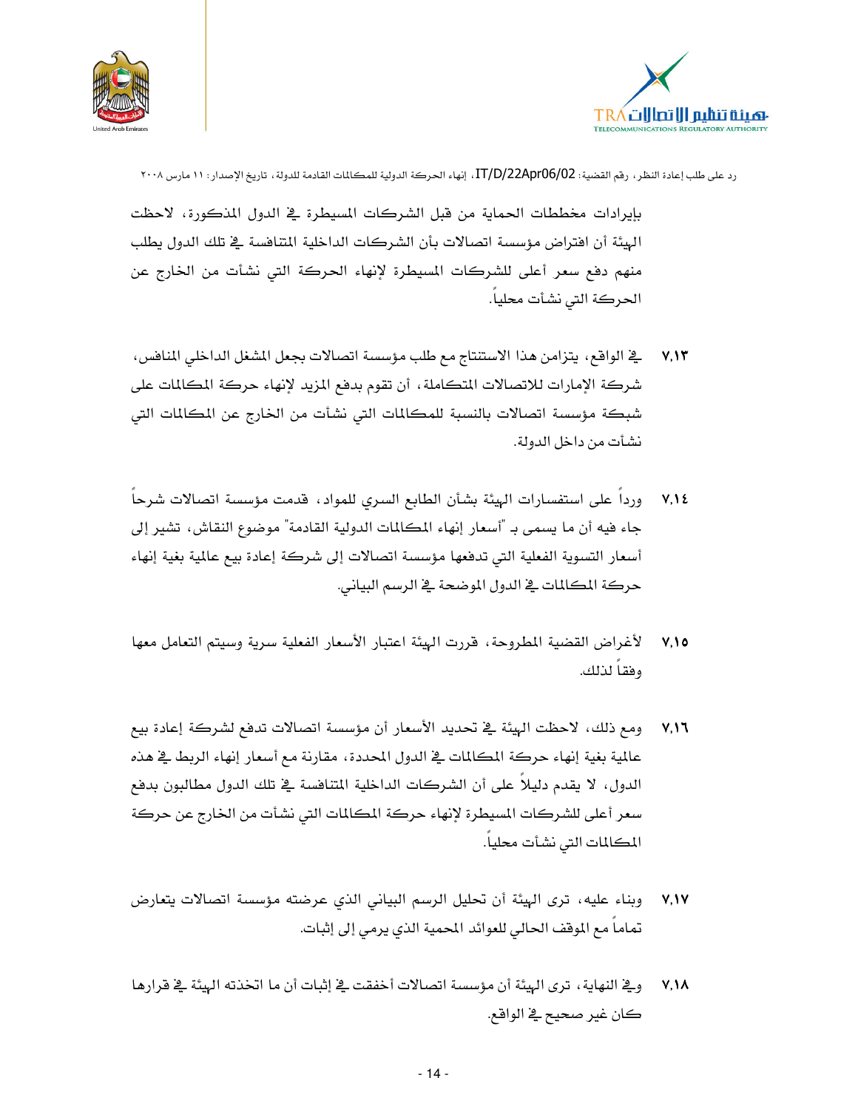



بإيرادات مخططات الحماية من قبل الشركات المسيطرة في الدول المذكورة، لاحظت الهيئة أن افتراض مؤسسة اتصالات بأن الشركات الداخلية المتافسة في تلك الدول يطلب منهم دفع سعر أعلى للشركات المسيطرة لإنهاء الحركة التي نشأت من الخارج عن الحركة التي نشأت محلياً.

- يخ الواقع، يتزامن هذا الاستنتاج مع طلب مؤسسة اتصالات بجعل المشغل الداخلي المنافس،  $V, \mathcal{V}$ شركة الإمارات للاتصالات المتكاملة، أن تقوم بدفع المزيد لإنهاء حركة المكالمات على شبكة مؤسسة اتصالات بالنسبة للمكالمات التي نشأت من الخارج عن المكالمات التي نشأت من داخل الدولة.
- وردا على استفسارات الهيئة بشأن الطابع السرى للمواد، قدمت مؤسسة اتصالات شرحا  $V, V$ جاء فيه أن ما يسمى بـ "أسعار إنهاء المكالمات الدولية القادمة" موضوع النقاش، تشير إلى أسعار التسوية الفعلية التي تدفعها مؤسسة اتصالات إلى شركة إعادة بيع عالمية بغية إنهاء حركة المكالمات في الدول الموضحة في الرسم البياني.
- لأغراض القضية المطروحة، قررت الهيئة اعتبار الأسعار الفعلية سرية وسيتم التعامل معها  $V.10$ وفقاً لذلك.
- ومع ذلك، لاحظت الهيئة في تحديد الأسعار أن مؤسسة اتصالات تدفع لشركة إعادة بيع  $V.17$ عالمية بغية إنهاء حركة المكالمات في الدول المحددة، مقارنة مع أسعار إنهاء الربط في هذه الدول، لا يقدم دليلاً على أن الشركات الداخلية المتنافسة في تلك الدول مطالبون بدفع سعر أعلى للشركات المسيطرة لإنهاء حركة المكالمات التي نشأت من الخارج عن حركة المكالمات التي نشأت محلياً.
- وبناء عليه، ترى الهيئة أن تحليل الرسم البياني الذي عرضته مؤسسة اتصالات يتعارض  $V, V$ تماما مع الموقف الحالي للعوائد المحمية الذي يرمى إلى إثبات.
- وِيخ النهاية، ترى الهِيئة أن مؤسسة اتصالات أخفقت في إثبات أن ما اتخذته الهيئة في قرارها  $V, V \wedge$ ڪان غير صحيح قے الواقع.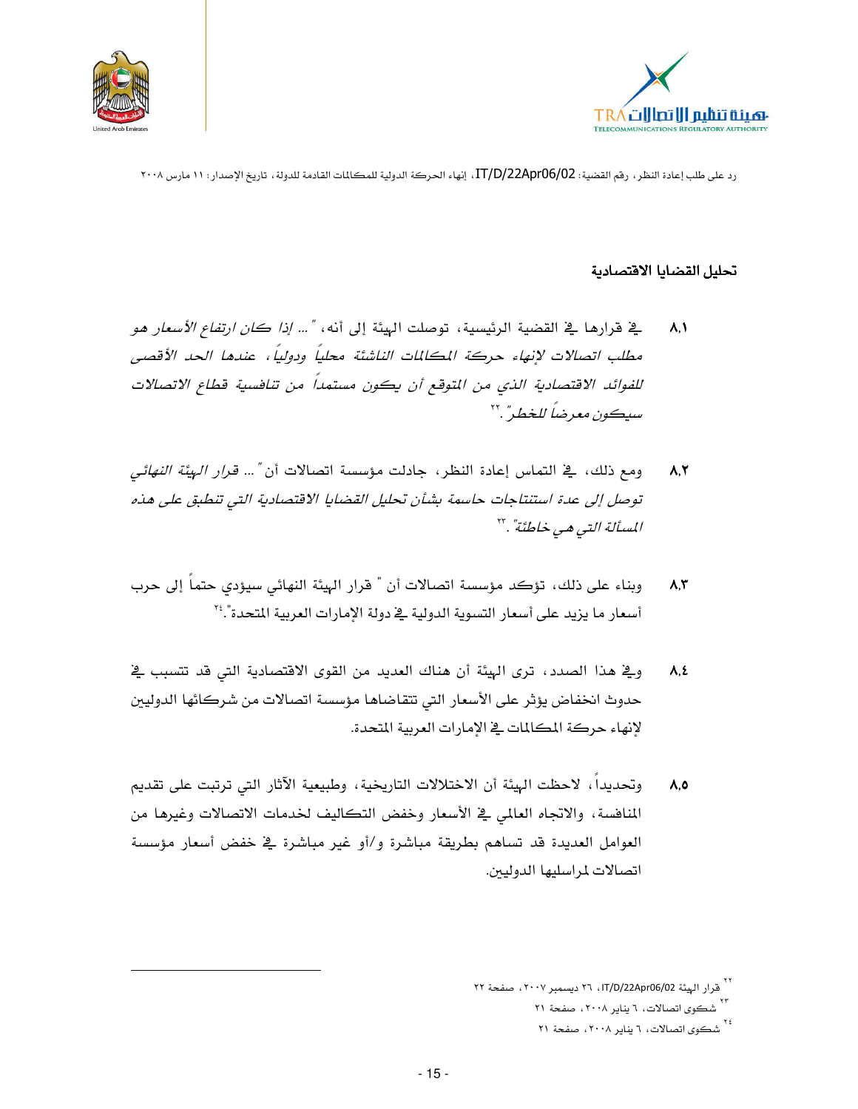



#### تحليل القضايا الاقتصادية

- ِيخ فرارها في القضية الرئيسية، توصلت الهيئة إلى أنه، *"... إذا كان ارتفاع الأسعار هو*  $\lambda$ . مطلب اتصالات لإنهاء حركة المكالمات الناشئة محلياً ودولياً، عندها الحد الأقصى للفوائد الاقتصادية الذي من المتوقع أن يكون مستمداً من تنافسية قطاع الاتصالات سيكون معرضاً للخطير" .''
- ومع ذلك، في التماس إعادة النظر، جادلت مؤسسة اتصالات أن "... قرار الهيئة النهائي  $\lambda, \Upsilon$ توصل إلى عدة استنتاجات حاسمة بشأن تحليل القضايا الاقتصادية التي تنطبق على هذه المسألة التي هي خاطئة"."
- وبناء على ذلك، تؤكد مؤسسة اتصالات أن " قرار الهيئة النهائي سيؤدي حتماً إلى حرب  $\lambda, \tilde{\tau}$ أسعار ما يزيد على أسعار التسوية الدولية في دولة الإمارات العربية المتحدة".''
- وِيٌّ هذا الصدد ، ترى الهيئة أن هناك العديد من القوى الاقتصادية التي قد تتسبب يٌّ  $\Lambda, \Sigma$ حدوث انخفاض يؤثر على الأسعار التي تتقاضاها مؤسسة اتصالات من شركائها الدوليين لانهاء حركة المكالمات في الإمارات العربية المتحدة.
- وتحديداً، لاحظت الهيئة أن الاختلالات التاريخية، وطبيعية الآثار التي ترتبت على تقديم  $\lambda, \delta$ المنافسة، والاتجاه العالمي في الأسعار وخفض التكاليف لخدمات الاتصالات وغيرها من العوامل العديدة قد تساهم بطريقة مباشرة و/أو غير مباشرة في خفض أسعار مؤسسة اتصالات لمراسليها الدوليين.

<sup>\'</sup> قرار الهيئة IT/D/22Apr06/02، ٢٦ ديسمبر ٢٠٠٧، صفحة ٢٢

۲۰<br>شکوی اتصالات، ۲ پنایر ۲۰۰۸، صفحة ۲۱

<sup>،&</sup>lt;br>۲۶ شکوی اتصالات، ۲ پنایر ۲۰۰۸، صفحة ۲۱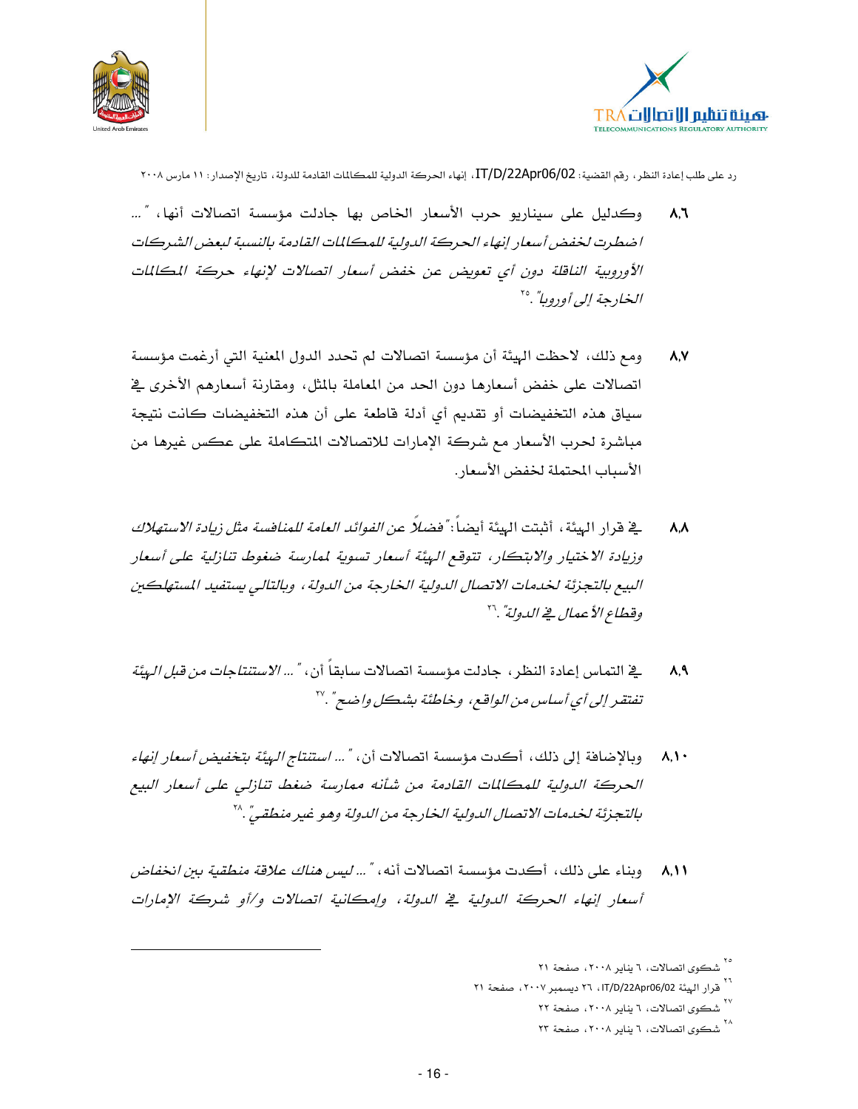



- وكدليل على سيناريو حرب الأسعار الخاص بها جادلت مؤسسة اتصالات أنها، "…  $\lambda,$ اضطرت لخفض أسعار إنهاء الحركة الدولية للمكالمات القادمة بالنسبة لبعض الشركات الأوروبية الناقلة دون أي تعويض عن خفض أسعار اتصالات لإنهاء حركة المكللات *الخادجة إلى أودوبا"* .°
- ومع ذلك، لاحظت الهيئة أن مؤسسة اتصالات لم تحدد الدول المعنية التي أرغمت مؤسسة  $\lambda$ .V اتصالات على خفض أسعارها دون الحد من المعاملة بالمثل، ومقارنة أسعارهم الأخرى في سياق هذه التخفيضات أو تقديم أي أدلة فاطعة على أن هذه التخفيضات كانت نتيجة مباشرة لحرب الأسعار مع شركة الإمارات للاتصالات المتكاملة على عكس غيرها من الأسباب المحتملة لخفض الأسعار .
- \_في قرار الهيئة ، أثبتت الهيئة أيضاً : *"فضلاً عن الفوائد العامة للمنافسة مثل زيادة الاستهلاك*  $\Lambda$ وزيادة الاختيار والابتكار، تتوقع الهيئة أسعار تسوية لممارسة ضغوط تنازلية على أسعار البيع بالتجزئة لخدمات الاتصال الدولية الخارجة من الدولة ، وبالتالي بستفيد المستهلكين وقطاع الأععال فجے الدولة".''
- \_في التماس إعادة النظر ، جادلت مؤسسة اتصالات سابقاً أن ، *" ... الاستنتاجات من قبل الهيئة*  $\lambda$ ,  $\lambda$ تفتقر إلى أي أساس من الواقع، وخاطئة بشكل واضح" .''
- وبالإضافة إلى ذلك، أكدت مؤسسة اتصالات أن، *"... استنتاج البيئة بتخفيض أسعار إنهاء*  $\lambda, \mathcal{N}$ الحركة الدولية للمكالمات القادمة من شأنه ممارسة ضغط تنازلي على أسعار البيع بالتجزئة لخدمات الاتصال الدولية الخارجة من الدولة وهو غير منطقي".^`
- ٨,١١ وبناء على ذلك، أكدت مؤسسة اتصالات أنه، " ... *ليس هناك علاقة منطقية ببن انخفاض* أسعار إنهاء الحركة الدولية في الدولة، وإمكانية اتصالات و/أو شركة الإمارات

۰۰<br>شکوی اتصالات، ۲ پنایر ۲۰۰۸، صفحة ۲۱

<sup>&</sup>lt;sup>\ \</sup> قرار الهيئة IT/D/22Apr06/02، ٢٦ ديسمبر ٢٠٠٧، صفحة ٢١

<sup>٬</sup>۰<br>شکوی اتصالات، ۲ ینایر ۲۰۰۸، صفحة ۲۲

<sup>٬</sup>۰۸<br>شکوی اتصالات، ۲ ینایر ۲۰۰۸، صفحة ۲۳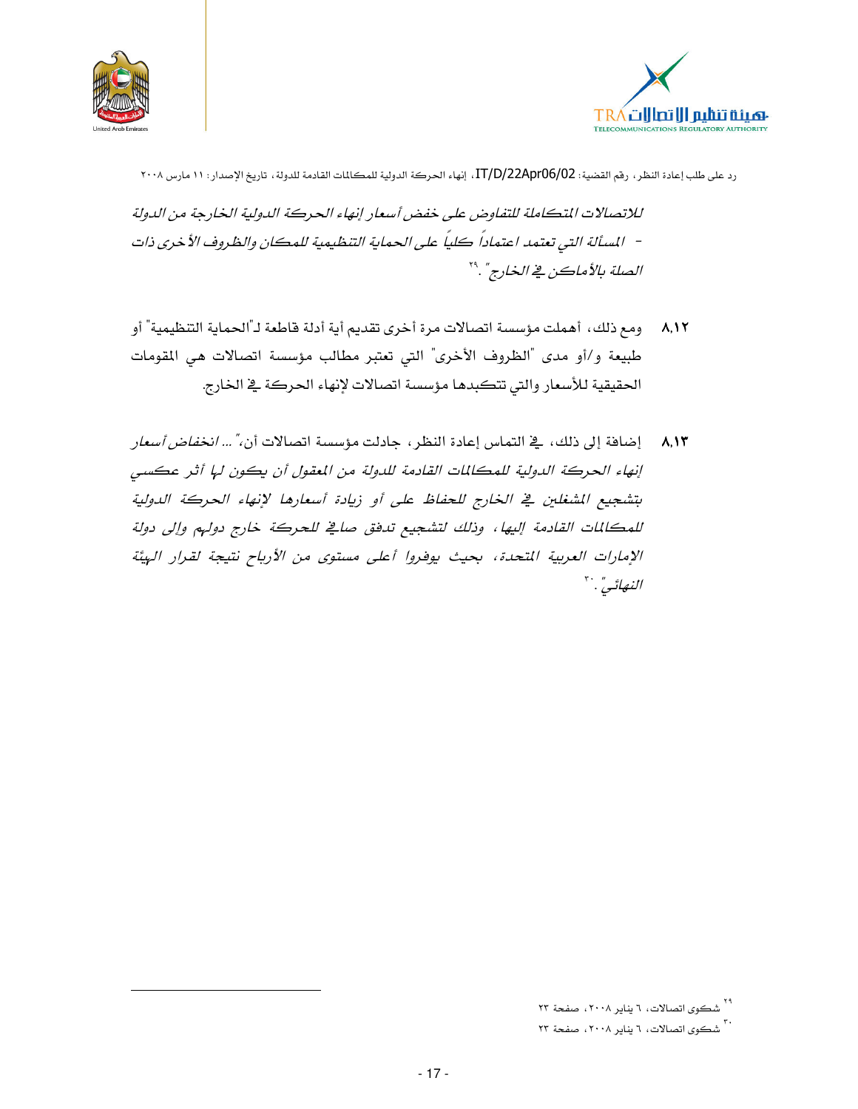



للاتصالات المتكاملة للتفاوض على خفض أسعار إنهاء الحركة الدولية الخارجة من الدولة – المسألة التي تعتمد اعتماداً كلياً على الحماية التنظيمية للمكان والظروف الأخرى ذات الصلة بالأماكن في الخارج". ``

- ٨,١٢ \_ ومع ذلك، أهملت مؤسسة اتصالات مرة أخرى تقديم أية أدلة فاطعة لـ"الحماية التنظيمية" أو طبيعة و/أو مدى "الظروف الأخرى" التي تعتبر مطالب مؤسسة اتصالات هي المقومات الحقيقية للأسعار والتي تتكبدها مؤسسة اتصالات لإنهاء الحركة في الخارج.
- ٨,١٣ إضافة إلى ذلك، يقـ التماس إعادة النظر، جادلت مؤسسة اتصالات أن،" ... *انخفاض أسعار* إنهاء الحركة الدولية للمكللات القادمة للدولة من المعقول أن يكون لها أثر عكسى بتشجيع المثلغلين في الخارج للحفاظ على أو زيادة أسعارها لإنهاء الحركة الدولية للمكللات القادمة إليها، وذلك لتشجيع تدفق صافي للحركة خارج دولهم وإلى دولة الإمارات العربية المتحدة، بحيث يوفروا أعلى مستوى من الأرباح نتيجة لقرار الهيئة النهائي". "

۲۹<br>شکوی اتصالات، ۲ پنایر ۲۰۰۸، صفحة ۲۳

<sup>.</sup> ۳۰<br>شکوی اتصالات، ۲ پنایر ۲۰۰۸، صفحة ۲۳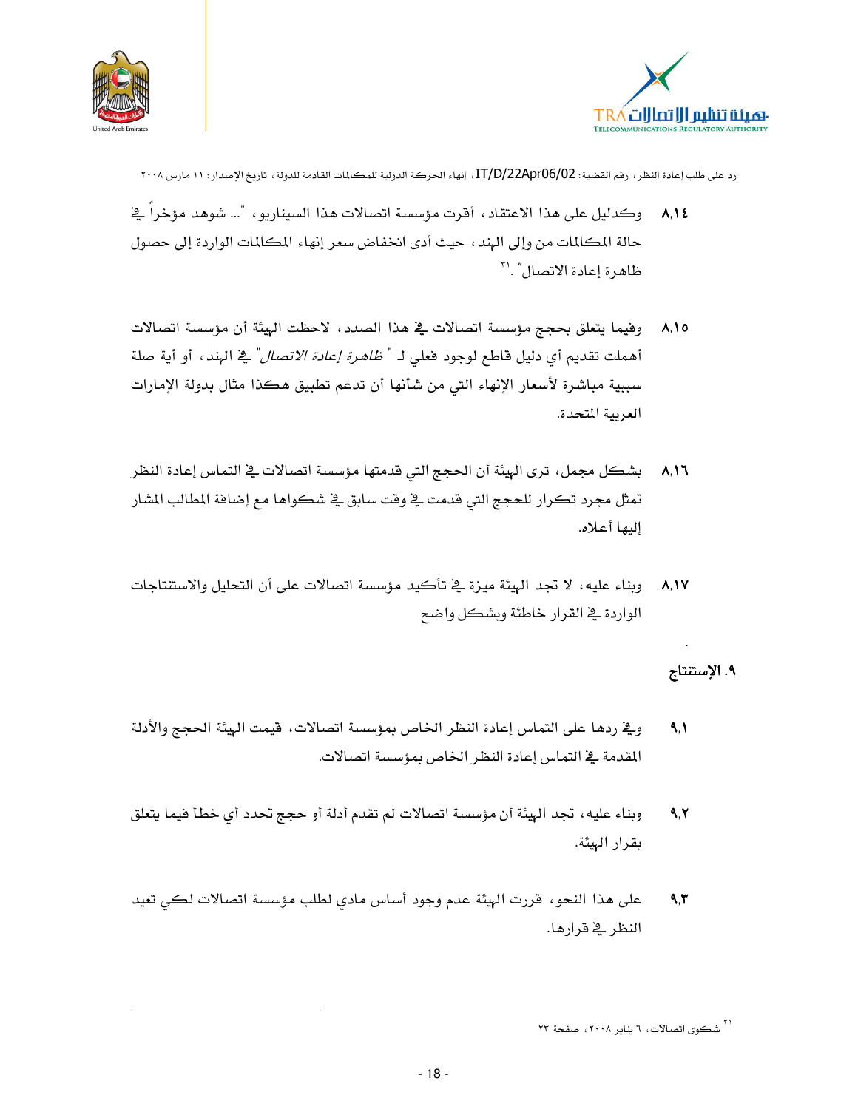



- ٨,١٤ وكدليل على هذا الاعتقاد ، أقرت مؤسسة اتصالات هذا السيناريو ، "... شوهد مؤخرا في حالة المكالمات من وإلى الهند ، حيث أدى انخفاض سعر إنهاء المكالمات الواردة إلى حصول ظاهرة إعادة الاتصال".'"
- ٨,١٥ وفيما يتعلق بحجج مؤسسة اتصالات في هذا الصدد ، لاحظت الهيئة أن مؤسسة اتصالات أهملت تقديم أي دليل قاطع لوجود فعلى لـ " *ظاهرة إعادة الاتصال*" في الهند ، أو أية صلة سببية مباشرة لأسعار الإنهاء التي من شأنها أن تدعم تطبيق هكذا مثال بدولة الإمارات العربية المتحدة.
- بشكل مجمل، ترى الهيئة أن الحجج التي قدمتها مؤسسة اتصالات في التماس إعادة النظر  $\lambda, \lambda$ تمثل مجرد تكرار للحجج التي قدمت فے وقت سابق فے شكواها مع إضافة المطالب المشار البها أعلاه.
- وبناء عليه، لا تجد الهيئة ميزة في تأكيد مؤسسة اتصالات على أن التحليل والاستتتاجات  $A.1V$ الواردة في القرار خاطئة وبشكل واضح

#### ٩. الإستنتاج

- ويـْ ردهـا على التماس إعادة النظر الخاص بمؤسسة اتصالات، فيمت الهيئة الحجج والأدلة  $\Lambda$ المقدمة في التماس إعادة النظر الخاص بمؤسسة اتصالات.
- وبناء عليه، تجد الهيئة أن مؤسسة اتصالات لم تقدم أدلة أو حجج تحدد أي خطأ فيما يتعلق  $9.7$ بقرار الهيئة.
- على هذا النحو ، قررت الهيئة عدم وجود أساس مادي لطلب مؤسسة اتصالات لكي تعيد  $9,7$ النظر \_ قرارها.

۲۱<br>شکوی اتصالات، ۲ ینایر ۲۰۰۸، صفحة ۲۳